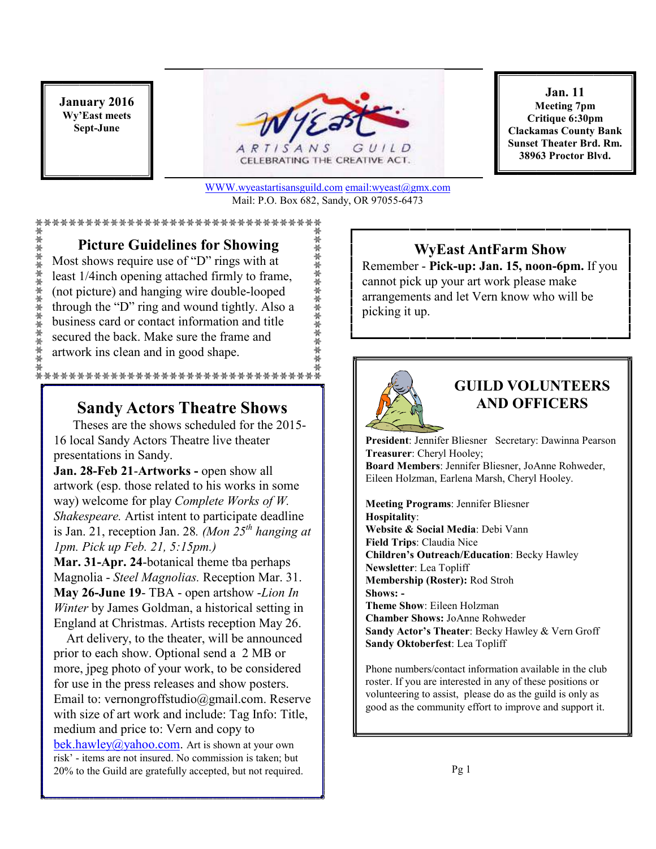**January 2016 Wy'East meets Sept-June** 

黃檗縣 壽壽縣 榮 榮 縣 榮 榮 榮



CELEBRATING THE CREATIVE ACT.

WWW.wyeastartisansguild.com email:wyeast@gmx.com Mail: P.O. Box 682, Sandy, OR 97055-6473

崇崇 崇 崇 崇 崇 崇 崇 崇 崇 崇 崇 崇

#### \*\*\*\*\*\*\*\*\*\*\*\*\*\*\*\*\*\*\*\*\*\*\*\*\*\*\*\*\*\*\*\*\*

**Picture Guidelines for Showing** 

Most shows require use of "D" rings with at least 1/4inch opening attached firmly to frame, (not picture) and hanging wire double-looped through the "D" ring and wound tightly. Also a business card or contact information and title secured the back. Make sure the frame and artwork ins clean and in good shape.

#### \*\*\*\*\*\*\*\*\*\*\*\*\*\*\*\*\*\*\*\*\*\*\*\*\*\*\*\*\*\*\*\*\*\*

### **Sandy Actors Theatre Shows**

 Theses are the shows scheduled for the 2015- 16 local Sandy Actors Theatre live theater presentations in Sandy.

**Jan. 28-Feb 21**-**Artworks -** open show all artwork (esp. those related to his works in some way) welcome for play *Complete Works of W. Shakespeare.* Artist intent to participate deadline is Jan. 21, reception Jan. 28*. (Mon 25th hanging at 1pm. Pick up Feb. 21, 5:15pm.)* 

**Mar. 31-Apr. 24**-botanical theme tba perhaps Magnolia - *Steel Magnolias.* Reception Mar. 31. **May 26-June 19**- TBA - open artshow -*Lion In Winter* by James Goldman, a historical setting in England at Christmas. Artists reception May 26.

 Art delivery, to the theater, will be announced prior to each show. Optional send a 2 MB or more, jpeg photo of your work, to be considered for use in the press releases and show posters. Email to: vernongroffstudio@gmail.com. Reserve with size of art work and include: Tag Info: Title, medium and price to: Vern and copy to bek.hawley@yahoo.com. Art is shown at your own risk' - items are not insured. No commission is taken; but 20% to the Guild are gratefully accepted, but not required.

**Jan. 11 Meeting 7pm Critique 6:30pm Clackamas County Bank Sunset Theater Brd. Rm. 38963 Proctor Blvd.**

### **WyEast AntFarm Show**

Remember - **Pick-up: Jan. 15, noon-6pm.** If you cannot pick up your art work please make arrangements and let Vern know who will be picking it up.



# **GUILD VOLUNTEERS AND OFFICERS**

**President**: Jennifer Bliesner Secretary: Dawinna Pearson **Treasurer**: Cheryl Hooley; **Board Members**: Jennifer Bliesner, JoAnne Rohweder, Eileen Holzman, Earlena Marsh, Cheryl Hooley.

**Meeting Programs**: Jennifer Bliesner **Hospitality**: **Website & Social Media**: Debi Vann **Field Trips**: Claudia Nice **Children's Outreach/Education**: Becky Hawley **Newsletter**: Lea Topliff **Membership (Roster):** Rod Stroh **Shows: - Theme Show**: Eileen Holzman **Chamber Shows:** JoAnne Rohweder **Sandy Actor's Theater**: Becky Hawley & Vern Groff **Sandy Oktoberfest**: Lea Topliff

Phone numbers/contact information available in the club roster. If you are interested in any of these positions or volunteering to assist, please do as the guild is only as good as the community effort to improve and support it.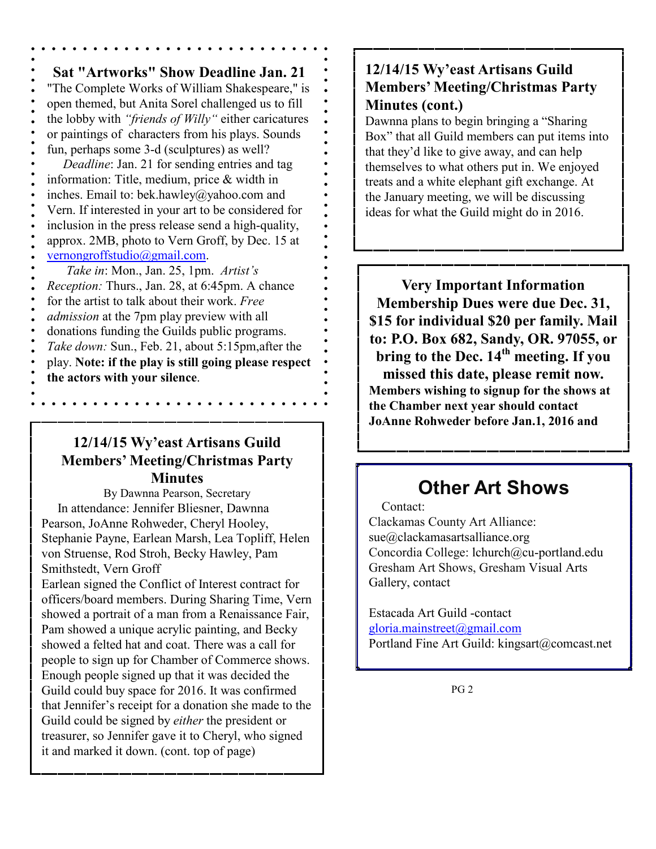**Sat "Artworks" Show Deadline Jan. 21**  "The Complete Works of William Shakespeare," is open themed, but Anita Sorel challenged us to fill the lobby with *"friends of Willy"* either caricatures or paintings of characters from his plays. Sounds fun, perhaps some 3-d (sculptures) as well?  *Deadline*: Jan. 21 for sending entries and tag information: Title, medium, price & width in inches. Email to: bek.hawley@yahoo.com and Vern. If interested in your art to be considered for inclusion in the press release send a high-quality, approx. 2MB, photo to Vern Groff, by Dec. 15 at vernongroffstudio@gmail.com.  *Take in*: Mon., Jan. 25, 1pm. *Artist's Reception:* Thurs., Jan. 28, at 6:45pm. A chance for the artist to talk about their work. *Free admission* at the 7pm play preview with all donations funding the Guilds public programs. *Take down:* Sun., Feb. 21, about 5:15pm,after the play. **Note: if the play is still going please respect the actors with your silence**.

### **12/14/15 Wy'east Artisans Guild Members' Meeting/Christmas Party Minutes**

By Dawnna Pearson, Secretary In attendance: Jennifer Bliesner, Dawnna Pearson, JoAnne Rohweder, Cheryl Hooley, Stephanie Payne, Earlean Marsh, Lea Topliff, Helen von Struense, Rod Stroh, Becky Hawley, Pam Smithstedt, Vern Groff Earlean signed the Conflict of Interest contract for officers/board members. During Sharing Time, Vern showed a portrait of a man from a Renaissance Fair, Pam showed a unique acrylic painting, and Becky showed a felted hat and coat. There was a call for people to sign up for Chamber of Commerce shows. Enough people signed up that it was decided the Guild could buy space for 2016. It was confirmed that Jennifer's receipt for a donation she made to the Guild could be signed by *either* the president or treasurer, so Jennifer gave it to Cheryl, who signed it and marked it down. (cont. top of page)

# **12/14/15 Wy'east Artisans Guild Members' Meeting/Christmas Party Minutes (cont.)**

Dawnna plans to begin bringing a "Sharing Box" that all Guild members can put items into that they'd like to give away, and can help themselves to what others put in. We enjoyed treats and a white elephant gift exchange. At the January meeting, we will be discussing ideas for what the Guild might do in 2016.

**Very Important Information Membership Dues were due Dec. 31, \$15 for individual \$20 per family. Mail to: P.O. Box 682, Sandy, OR. 97055, or bring to the Dec. 14th meeting. If you missed this date, please remit now. Members wishing to signup for the shows at the Chamber next year should contact JoAnne Rohweder before Jan.1, 2016 and** 

# **Other Art Shows**

#### Contact:

Clackamas County Art Alliance: sue@clackamasartsalliance.org Concordia College: lchurch@cu-portland.edu Gresham Art Shows, Gresham Visual Arts Gallery, contact

Estacada Art Guild -contact gloria.mainstreet@gmail.com Portland Fine Art Guild: kingsart@comcast.net